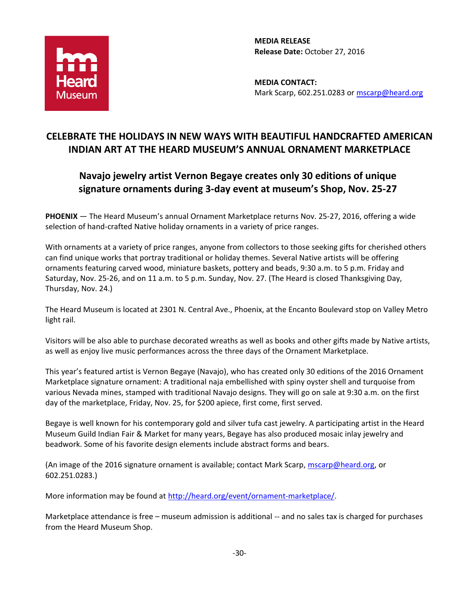

**MEDIA RELEASE Release Date:** October 27, 2016

**MEDIA CONTACT:** Mark Scarp, 602.251.0283 or [mscarp@heard.org](mailto:mscarp@heard.org)

## **CELEBRATE THE HOLIDAYS IN NEW WAYS WITH BEAUTIFUL HANDCRAFTED AMERICAN INDIAN ART AT THE HEARD MUSEUM'S ANNUAL ORNAMENT MARKETPLACE**

## **Navajo jewelry artist Vernon Begaye creates only 30 editions of unique signature ornaments during 3-day event at museum's Shop, Nov. 25-27**

**PHOENIX** — The Heard Museum's annual Ornament Marketplace returns Nov. 25-27, 2016, offering a wide selection of hand-crafted Native holiday ornaments in a variety of price ranges.

With ornaments at a variety of price ranges, anyone from collectors to those seeking gifts for cherished others can find unique works that portray traditional or holiday themes. Several Native artists will be offering ornaments featuring carved wood, miniature baskets, pottery and beads, 9:30 a.m. to 5 p.m. Friday and Saturday, Nov. 25-26, and on 11 a.m. to 5 p.m. Sunday, Nov. 27. (The Heard is closed Thanksgiving Day, Thursday, Nov. 24.)

The Heard Museum is located at 2301 N. Central Ave., Phoenix, at the Encanto Boulevard stop on Valley Metro light rail.

Visitors will be also able to purchase decorated wreaths as well as books and other gifts made by Native artists, as well as enjoy live music performances across the three days of the Ornament Marketplace.

This year's featured artist is Vernon Begaye (Navajo), who has created only 30 editions of the 2016 Ornament Marketplace signature ornament: A traditional naja embellished with spiny oyster shell and turquoise from various Nevada mines, stamped with traditional Navajo designs. They will go on sale at 9:30 a.m. on the first day of the marketplace, Friday, Nov. 25, for \$200 apiece, first come, first served.

Begaye is well known for his contemporary gold and silver tufa cast jewelry. A participating artist in the Heard Museum Guild Indian Fair & Market for many years, Begaye has also produced mosaic inlay jewelry and beadwork. Some of his favorite design elements include abstract forms and bears.

(An image of the 2016 signature ornament is available; contact Mark Scarp, [mscarp@heard.org,](mailto:mscarp@heard.org) or 602.251.0283.)

More information may be found at [http://heard.org/event/ornament-marketplace/.](http://heard.org/event/ornament-marketplace/)

Marketplace attendance is free – museum admission is additional -- and no sales tax is charged for purchases from the Heard Museum Shop.